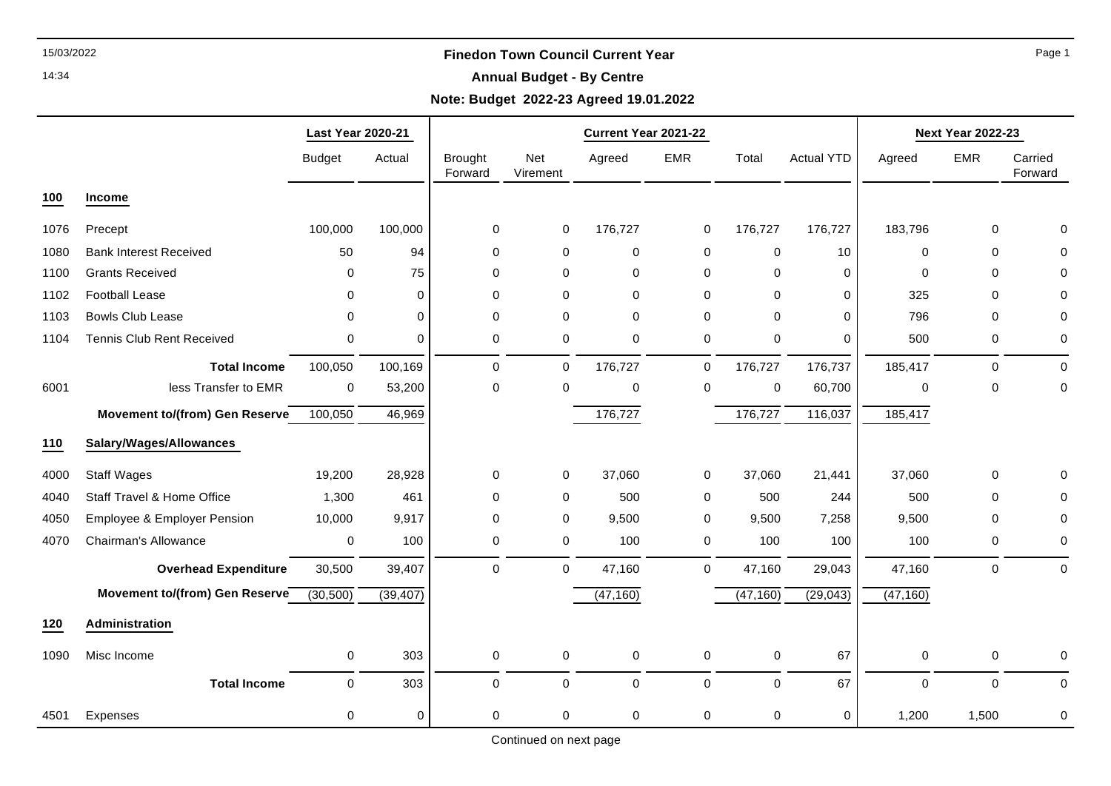### 14:34

## **Annual Budget - By Centre**

# **Note: Budget 2022-23 Agreed 19.01.2022**

|      |                                       | <b>Last Year 2020-21</b> |             |                           |                        | Current Year 2021-22 |             |             |                   | <b>Next Year 2022-23</b> |             |                    |  |
|------|---------------------------------------|--------------------------|-------------|---------------------------|------------------------|----------------------|-------------|-------------|-------------------|--------------------------|-------------|--------------------|--|
|      |                                       | <b>Budget</b>            | Actual      | <b>Brought</b><br>Forward | <b>Net</b><br>Virement | Agreed               | <b>EMR</b>  | Total       | <b>Actual YTD</b> | Agreed                   | <b>EMR</b>  | Carried<br>Forward |  |
| 100  | Income                                |                          |             |                           |                        |                      |             |             |                   |                          |             |                    |  |
| 1076 | Precept                               | 100,000                  | 100,000     | 0                         | $\mathbf 0$            | 176,727              | 0           | 176,727     | 176,727           | 183,796                  | 0           | 0                  |  |
| 1080 | <b>Bank Interest Received</b>         | 50                       | 94          | 0                         | 0                      | 0                    | 0           | 0           | 10                | $\mathbf 0$              | $\mathbf 0$ | 0                  |  |
| 1100 | <b>Grants Received</b>                | 0                        | 75          | 0                         | 0                      | 0                    | 0           | 0           | $\Omega$          | 0                        | $\Omega$    | 0                  |  |
| 1102 | <b>Football Lease</b>                 | 0                        | $\Omega$    | 0                         | $\Omega$               | $\Omega$             | $\Omega$    | $\Omega$    | 0                 | 325                      | $\Omega$    | 0                  |  |
| 1103 | <b>Bowls Club Lease</b>               | $\Omega$                 | $\Omega$    | 0                         | 0                      | 0                    | 0           | 0           | $\mathbf{0}$      | 796                      | 0           | 0                  |  |
| 1104 | <b>Tennis Club Rent Received</b>      | 0                        | $\mathbf 0$ | 0                         | 0                      | $\mathbf 0$          | 0           | 0           | $\mathbf 0$       | 500                      | 0           | 0                  |  |
|      | <b>Total Income</b>                   | 100,050                  | 100,169     | 0                         | 0                      | 176,727              | 0           | 176,727     | 176,737           | 185,417                  | $\Omega$    | $\Omega$           |  |
| 6001 | less Transfer to EMR                  | 0                        | 53,200      | 0                         | $\mathbf 0$            | 0                    | $\mathbf 0$ | $\mathbf 0$ | 60,700            | $\Omega$                 | $\mathbf 0$ | $\mathbf 0$        |  |
|      | <b>Movement to/(from) Gen Reserve</b> | 100,050                  | 46,969      |                           |                        | 176,727              |             | 176,727     | 116,037           | 185,417                  |             |                    |  |
| 110  | Salary/Wages/Allowances               |                          |             |                           |                        |                      |             |             |                   |                          |             |                    |  |
| 4000 | <b>Staff Wages</b>                    | 19,200                   | 28,928      | 0                         | $\mathbf 0$            | 37,060               | 0           | 37,060      | 21,441            | 37,060                   | $\mathbf 0$ | 0                  |  |
| 4040 | Staff Travel & Home Office            | 1,300                    | 461         | 0                         | 0                      | 500                  | 0           | 500         | 244               | 500                      | $\mathbf 0$ | 0                  |  |
| 4050 | Employee & Employer Pension           | 10,000                   | 9,917       | 0                         | $\mathbf 0$            | 9,500                | 0           | 9,500       | 7,258             | 9,500                    | $\mathbf 0$ | 0                  |  |
| 4070 | Chairman's Allowance                  | 0                        | 100         | 0                         | 0                      | 100                  | $\mathbf 0$ | 100         | 100               | 100                      | 0           | 0                  |  |
|      | <b>Overhead Expenditure</b>           | 30,500                   | 39,407      | $\Omega$                  | 0                      | 47,160               | 0           | 47,160      | 29,043            | 47,160                   | $\mathbf 0$ | $\mathbf 0$        |  |
|      | Movement to/(from) Gen Reserve        | (30, 500)                | (39, 407)   |                           |                        | (47, 160)            |             | (47, 160)   | (29, 043)         | (47, 160)                |             |                    |  |
| 120  | Administration                        |                          |             |                           |                        |                      |             |             |                   |                          |             |                    |  |
| 1090 | Misc Income                           | $\pmb{0}$                | 303         | 0                         | 0                      | $\pmb{0}$            | $\mathbf 0$ | 0           | 67                | 0                        | 0           | 0                  |  |
|      | <b>Total Income</b>                   | $\mathbf 0$              | 303         | $\Omega$                  | $\Omega$               | $\Omega$             | $\mathbf 0$ | $\mathbf 0$ | 67                | $\mathbf 0$              | $\Omega$    | $\Omega$           |  |
| 4501 | Expenses                              | 0                        | $\mathbf 0$ | 0                         | 0                      | 0                    | 0           | 0           | $\mathbf 0$       | 1,200                    | 1,500       | 0                  |  |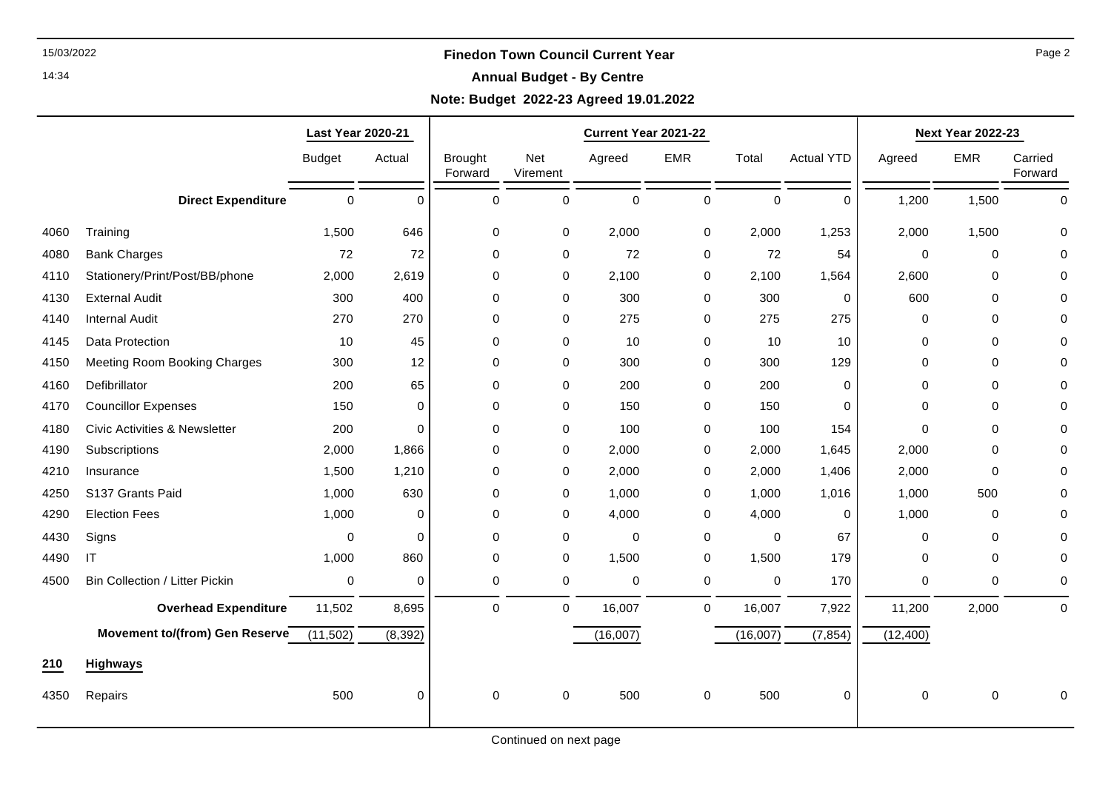### 14:34

## **Annual Budget - By Centre**

# **Note: Budget 2022-23 Agreed 19.01.2022**

|      |                                          | <b>Last Year 2020-21</b> |          |                           |                 | Current Year 2021-22 |             |             |                   | <b>Next Year 2022-23</b> |             |                    |
|------|------------------------------------------|--------------------------|----------|---------------------------|-----------------|----------------------|-------------|-------------|-------------------|--------------------------|-------------|--------------------|
|      |                                          | <b>Budget</b>            | Actual   | <b>Brought</b><br>Forward | Net<br>Virement | Agreed               | <b>EMR</b>  | Total       | <b>Actual YTD</b> | Agreed                   | <b>EMR</b>  | Carried<br>Forward |
|      | <b>Direct Expenditure</b>                | $\mathsf{O}\xspace$      | $\Omega$ | $\pmb{0}$                 | $\pmb{0}$       | 0                    | $\mathbf 0$ | 0           | $\Omega$          | 1,200                    | 1,500       | $\mathbf 0$        |
| 4060 | Training                                 | 1,500                    | 646      | $\mathbf 0$               | $\mathbf 0$     | 2,000                | $\mathbf 0$ | 2,000       | 1,253             | 2,000                    | 1,500       | $\Omega$           |
| 4080 | <b>Bank Charges</b>                      | 72                       | 72       | $\mathbf 0$               | $\mathbf 0$     | 72                   | 0           | 72          | 54                | $\mathbf 0$              | $\Omega$    | $\Omega$           |
| 4110 | Stationery/Print/Post/BB/phone           | 2,000                    | 2,619    | $\mathbf 0$               | 0               | 2,100                | 0           | 2,100       | 1,564             | 2,600                    | 0           | $\Omega$           |
| 4130 | <b>External Audit</b>                    | 300                      | 400      | $\mathbf 0$               | $\mathbf 0$     | 300                  | $\mathbf 0$ | 300         | 0                 | 600                      | $\mathbf 0$ | $\Omega$           |
| 4140 | <b>Internal Audit</b>                    | 270                      | 270      | $\mathbf 0$               | 0               | 275                  | $\mathbf 0$ | 275         | 275               | $\mathbf 0$              | $\Omega$    | 0                  |
| 4145 | Data Protection                          | 10                       | 45       | $\mathbf 0$               | $\mathbf 0$     | 10                   | $\mathbf 0$ | 10          | 10                | $\mathbf 0$              | 0           | $\Omega$           |
| 4150 | <b>Meeting Room Booking Charges</b>      | 300                      | 12       | $\mathbf 0$               | $\mathbf 0$     | 300                  | 0           | 300         | 129               | $\mathbf 0$              | 0           | $\Omega$           |
| 4160 | Defibrillator                            | 200                      | 65       | $\mathbf 0$               | $\mathbf 0$     | 200                  | $\mathbf 0$ | 200         | 0                 | $\mathbf 0$              | 0           | $\Omega$           |
| 4170 | <b>Councillor Expenses</b>               | 150                      | $\Omega$ | $\mathbf 0$               | 0               | 150                  | $\mathbf 0$ | 150         | $\Omega$          | $\Omega$                 | 0           | $\Omega$           |
| 4180 | <b>Civic Activities &amp; Newsletter</b> | 200                      | $\Omega$ | $\mathbf 0$               | 0               | 100                  | 0           | 100         | 154               | $\mathbf 0$              | 0           | $\Omega$           |
| 4190 | Subscriptions                            | 2,000                    | 1,866    | $\mathbf 0$               | $\mathbf 0$     | 2,000                | 0           | 2,000       | 1,645             | 2,000                    | $\mathbf 0$ | $\Omega$           |
| 4210 | Insurance                                | 1,500                    | 1,210    | $\mathbf 0$               | 0               | 2,000                | 0           | 2,000       | 1,406             | 2,000                    | $\mathbf 0$ | $\Omega$           |
| 4250 | S137 Grants Paid                         | 1,000                    | 630      | $\mathbf 0$               | 0               | 1,000                | 0           | 1,000       | 1,016             | 1,000                    | 500         | $\Omega$           |
| 4290 | <b>Election Fees</b>                     | 1,000                    | $\Omega$ | $\mathbf 0$               | 0               | 4,000                | 0           | 4,000       | 0                 | 1,000                    | 0           | 0                  |
| 4430 | Signs                                    | $\mathbf 0$              | $\Omega$ | $\mathbf 0$               | $\mathbf 0$     | 0                    | 0           | $\mathbf 0$ | 67                | $\mathbf 0$              | $\mathbf 0$ | $\Omega$           |
| 4490 | IT                                       | 1,000                    | 860      | $\mathbf 0$               | $\mathbf 0$     | 1,500                | $\mathbf 0$ | 1,500       | 179               | $\mathbf 0$              | $\mathbf 0$ | $\Omega$           |
| 4500 | <b>Bin Collection / Litter Pickin</b>    | $\mathbf 0$              | $\Omega$ | 0                         | $\mathbf 0$     | 0                    | $\mathbf 0$ | $\mathbf 0$ | 170               | $\mathbf 0$              | $\mathbf 0$ | $\Omega$           |
|      | <b>Overhead Expenditure</b>              | 11,502                   | 8,695    | $\mathbf 0$               | $\mathbf 0$     | 16,007               | $\mathbf 0$ | 16,007      | 7,922             | 11,200                   | 2,000       | 0                  |
|      | Movement to/(from) Gen Reserve           | (11, 502)                | (8, 392) |                           |                 | (16,007)             |             | (16,007)    | (7, 854)          | (12,400)                 |             |                    |
| 210  | <b>Highways</b>                          |                          |          |                           |                 |                      |             |             |                   |                          |             |                    |
| 4350 | Repairs                                  | 500                      | $\Omega$ | $\mathbf 0$               | 0               | 500                  | $\mathbf 0$ | 500         | $\mathbf 0$       | $\mathbf 0$              | 0           | $\Omega$           |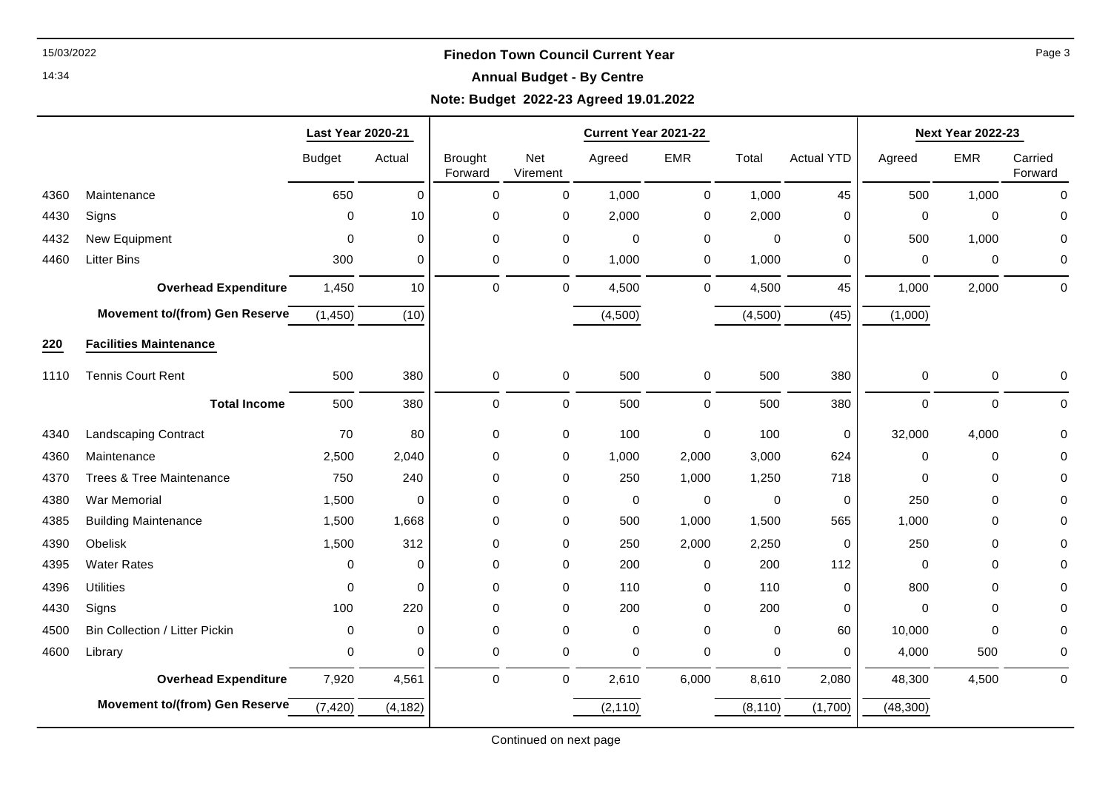### 14:34

## **Annual Budget - By Centre**

# **Note: Budget 2022-23 Agreed 19.01.2022**

|      |                                       | <b>Last Year 2020-21</b> |             |                           |                     | Current Year 2021-22 |             |             |                   | <b>Next Year 2022-23</b> |             |                    |
|------|---------------------------------------|--------------------------|-------------|---------------------------|---------------------|----------------------|-------------|-------------|-------------------|--------------------------|-------------|--------------------|
|      |                                       | <b>Budget</b>            | Actual      | <b>Brought</b><br>Forward | Net<br>Virement     | Agreed               | <b>EMR</b>  | Total       | <b>Actual YTD</b> | Agreed                   | <b>EMR</b>  | Carried<br>Forward |
| 4360 | Maintenance                           | 650                      | $\Omega$    | $\mathbf 0$               | 0                   | 1,000                | 0           | 1,000       | 45                | 500                      | 1,000       | $\Omega$           |
| 4430 | Signs                                 | $\Omega$                 | 10          | 0                         | 0                   | 2,000                | 0           | 2,000       | 0                 | 0                        | 0           | $\Omega$           |
| 4432 | New Equipment                         | 0                        | $\mathbf 0$ | $\mathbf 0$               | 0                   | $\mathbf 0$          | 0           | $\mathbf 0$ | 0                 | 500                      | 1,000       | 0                  |
| 4460 | <b>Litter Bins</b>                    | 300                      | 0           | $\mathbf 0$               | 0                   | 1,000                | 0           | 1,000       | 0                 | 0                        | 0           | 0                  |
|      | <b>Overhead Expenditure</b>           | 1,450                    | 10          | $\mathbf 0$               | 0                   | 4,500                | $\mathbf 0$ | 4,500       | 45                | 1,000                    | 2,000       | $\mathbf 0$        |
|      | <b>Movement to/(from) Gen Reserve</b> | (1, 450)                 | (10)        |                           |                     | (4,500)              |             | (4,500)     | (45)              | (1,000)                  |             |                    |
| 220  | <b>Facilities Maintenance</b>         |                          |             |                           |                     |                      |             |             |                   |                          |             |                    |
| 1110 | <b>Tennis Court Rent</b>              | 500                      | 380         | 0                         | 0                   | 500                  | $\mathbf 0$ | 500         | 380               | 0                        | 0           | $\Omega$           |
|      | <b>Total Income</b>                   | 500                      | 380         | $\mathsf 0$               | $\mathsf{O}\xspace$ | 500                  | $\mathbf 0$ | 500         | 380               | 0                        | $\pmb{0}$   | $\Omega$           |
| 4340 | <b>Landscaping Contract</b>           | 70                       | 80          | 0                         | 0                   | 100                  | $\mathbf 0$ | 100         | 0                 | 32,000                   | 4,000       | 0                  |
| 4360 | Maintenance                           | 2,500                    | 2,040       | 0                         | 0                   | 1,000                | 2,000       | 3,000       | 624               | 0                        | 0           |                    |
| 4370 | <b>Trees &amp; Tree Maintenance</b>   | 750                      | 240         | $\pmb{0}$                 | 0                   | 250                  | 1,000       | 1,250       | 718               | 0                        | 0           |                    |
| 4380 | War Memorial                          | 1,500                    | $\Omega$    | $\mathbf 0$               | 0                   | $\mathbf 0$          | $\mathbf 0$ | $\mathbf 0$ | $\mathbf 0$       | 250                      | $\mathbf 0$ | $\Omega$           |
| 4385 | <b>Building Maintenance</b>           | 1,500                    | 1,668       | 0                         | 0                   | 500                  | 1,000       | 1,500       | 565               | 1,000                    | 0           |                    |
| 4390 | Obelisk                               | 1,500                    | 312         | 0                         | 0                   | 250                  | 2,000       | 2,250       | 0                 | 250                      | 0           | O                  |
| 4395 | <b>Water Rates</b>                    | $\Omega$                 | $\mathbf 0$ | $\mathbf 0$               | 0                   | 200                  | 0           | 200         | 112               | 0                        | 0           | $\Omega$           |
| 4396 | <b>Utilities</b>                      | $\Omega$                 | $\Omega$    | $\mathbf 0$               | 0                   | 110                  | $\mathbf 0$ | 110         | 0                 | 800                      | 0           |                    |
| 4430 | Signs                                 | 100                      | 220         | 0                         | 0                   | 200                  | 0           | 200         | 0                 | 0                        | 0           | O                  |
| 4500 | <b>Bin Collection / Litter Pickin</b> | $\mathbf 0$              | $\mathbf 0$ | $\mathbf 0$               | 0                   | 0                    | 0           | 0           | 60                | 10,000                   | $\Omega$    | $\Omega$           |
| 4600 | Library                               | 0                        | $\Omega$    | $\mathbf 0$               | 0                   | 0                    | 0           | 0           | 0                 | 4,000                    | 500         | 0                  |
|      | <b>Overhead Expenditure</b>           | 7,920                    | 4,561       | $\mathbf 0$               | $\mathbf 0$         | 2,610                | 6,000       | 8,610       | 2,080             | 48,300                   | 4,500       | $\mathbf 0$        |
|      | Movement to/(from) Gen Reserve        | (7, 420)                 | (4, 182)    |                           |                     | (2, 110)             |             | (8, 110)    | (1,700)           | (48, 300)                |             |                    |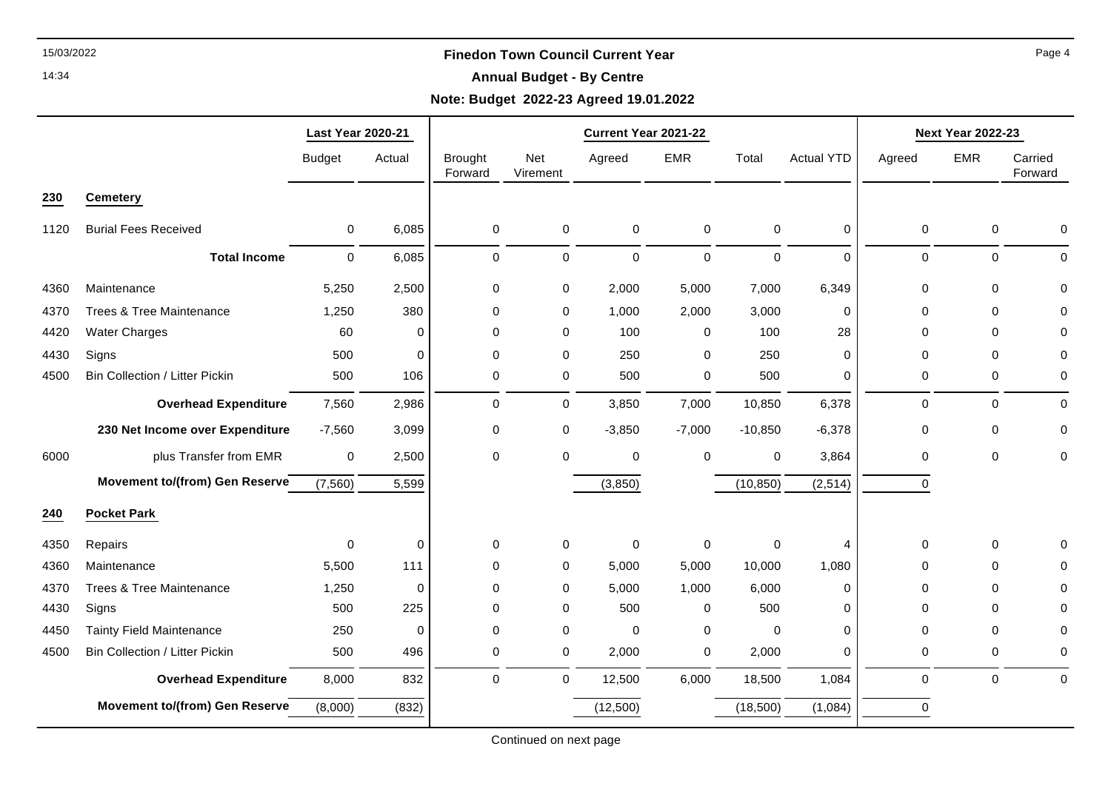### 14:34

## **Annual Budget - By Centre**

# **Note: Budget 2022-23 Agreed 19.01.2022**

|      |                                       | <b>Last Year 2020-21</b> |           | Current Year 2021-22      |                 |             |            |             |                   | <b>Next Year 2022-23</b> |             |                    |
|------|---------------------------------------|--------------------------|-----------|---------------------------|-----------------|-------------|------------|-------------|-------------------|--------------------------|-------------|--------------------|
|      |                                       | <b>Budget</b>            | Actual    | <b>Brought</b><br>Forward | Net<br>Virement | Agreed      | <b>EMR</b> | Total       | <b>Actual YTD</b> | Agreed                   | <b>EMR</b>  | Carried<br>Forward |
| 230  | <b>Cemetery</b>                       |                          |           |                           |                 |             |            |             |                   |                          |             |                    |
| 1120 | <b>Burial Fees Received</b>           | 0                        | 6,085     | 0                         | 0               | $\mathbf 0$ | 0          | 0           | 0                 | 0                        | 0           | 0                  |
|      | <b>Total Income</b>                   | 0                        | 6,085     | 0                         | $\pmb{0}$       | $\pmb{0}$   | $\pmb{0}$  | $\pmb{0}$   | $\Omega$          | 0                        | $\pmb{0}$   | 0                  |
| 4360 | Maintenance                           | 5,250                    | 2,500     | 0                         | 0               | 2,000       | 5,000      | 7,000       | 6,349             | 0                        | $\mathbf 0$ | 0                  |
| 4370 | <b>Trees &amp; Tree Maintenance</b>   | 1,250                    | 380       | 0                         | 0               | 1,000       | 2,000      | 3,000       | 0                 | 0                        | $\mathbf 0$ | 0                  |
| 4420 | <b>Water Charges</b>                  | 60                       | 0         | 0                         | 0               | 100         | 0          | 100         | 28                | 0                        | 0           | 0                  |
| 4430 | Signs                                 | 500                      | 0         | 0                         | 0               | 250         | 0          | 250         | $\Omega$          | 0                        | $\Omega$    | 0                  |
| 4500 | <b>Bin Collection / Litter Pickin</b> | 500                      | 106       | 0                         | 0               | 500         | 0          | 500         | 0                 | 0                        | $\mathbf 0$ | 0                  |
|      | <b>Overhead Expenditure</b>           | 7,560                    | 2,986     | 0                         | $\pmb{0}$       | 3,850       | 7,000      | 10,850      | 6,378             | 0                        | 0           | $\mathbf 0$        |
|      | 230 Net Income over Expenditure       | $-7,560$                 | 3,099     | 0                         | 0               | $-3,850$    | $-7,000$   | $-10,850$   | $-6,378$          | 0                        | 0           | 0                  |
| 6000 | plus Transfer from EMR                | $\pmb{0}$                | 2,500     | 0                         | $\mathbf 0$     | $\mathbf 0$ | 0          | 0           | 3,864             | 0                        | $\mathbf 0$ | 0                  |
|      | Movement to/(from) Gen Reserve        | (7, 560)                 | 5,599     |                           |                 | (3,850)     |            | (10, 850)   | (2, 514)          | 0                        |             |                    |
| 240  | <b>Pocket Park</b>                    |                          |           |                           |                 |             |            |             |                   |                          |             |                    |
| 4350 | Repairs                               | 0                        | $\pmb{0}$ | 0                         | 0               | 0           | 0          | 0           | 4                 | 0                        | $\mathbf 0$ | 0                  |
| 4360 | Maintenance                           | 5,500                    | 111       | 0                         | 0               | 5,000       | 5,000      | 10,000      | 1,080             | 0                        | $\mathbf 0$ | 0                  |
| 4370 | Trees & Tree Maintenance              | 1,250                    | $\pmb{0}$ | 0                         | $\mathbf 0$     | 5,000       | 1,000      | 6,000       | $\mathbf 0$       | 0                        | $\mathbf 0$ | 0                  |
| 4430 | Signs                                 | 500                      | 225       | 0                         | 0               | 500         | 0          | 500         | 0                 | 0                        | $\mathbf 0$ | 0                  |
| 4450 | Tainty Field Maintenance              | 250                      | $\pmb{0}$ | 0                         | 0               | $\mathbf 0$ | 0          | $\mathbf 0$ | 0                 | 0                        | $\mathbf 0$ | 0                  |
| 4500 | <b>Bin Collection / Litter Pickin</b> | 500                      | 496       | 0                         | $\pmb{0}$       | 2,000       | $\pmb{0}$  | 2,000       | 0                 | 0                        | $\pmb{0}$   | 0                  |
|      | <b>Overhead Expenditure</b>           | 8,000                    | 832       | 0                         | $\mathbf 0$     | 12,500      | 6,000      | 18,500      | 1,084             | $\mathbf 0$              | $\mathbf 0$ | $\mathbf 0$        |
|      | <b>Movement to/(from) Gen Reserve</b> | (8,000)                  | (832)     |                           |                 | (12,500)    |            | (18,500)    | (1,084)           | 0                        |             |                    |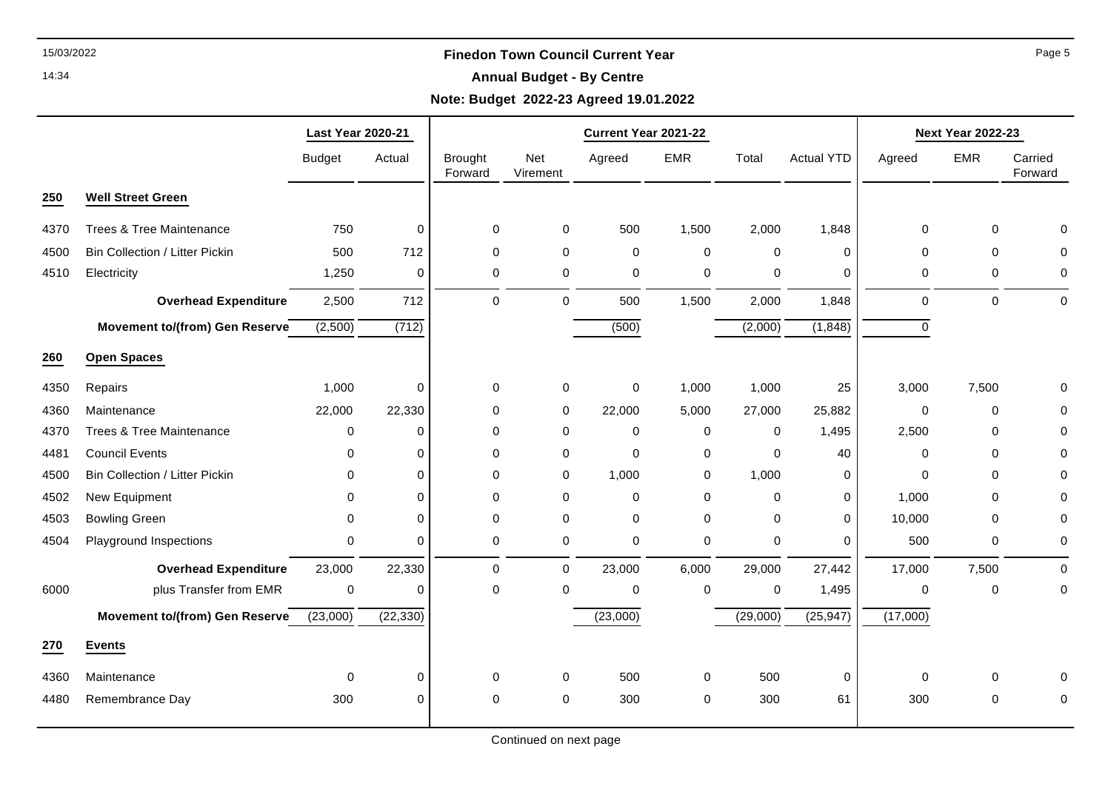### 14:34

## **Annual Budget - By Centre**

# **Note: Budget 2022-23 Agreed 19.01.2022**

|      |                                       | <b>Last Year 2020-21</b> |             |                           |                 |             | Current Year 2021-22 |             |                   |             | <b>Next Year 2022-23</b> |                    |
|------|---------------------------------------|--------------------------|-------------|---------------------------|-----------------|-------------|----------------------|-------------|-------------------|-------------|--------------------------|--------------------|
|      |                                       | <b>Budget</b>            | Actual      | <b>Brought</b><br>Forward | Net<br>Virement | Agreed      | <b>EMR</b>           | Total       | <b>Actual YTD</b> | Agreed      | <b>EMR</b>               | Carried<br>Forward |
| 250  | <b>Well Street Green</b>              |                          |             |                           |                 |             |                      |             |                   |             |                          |                    |
| 4370 | Trees & Tree Maintenance              | 750                      | $\pmb{0}$   | 0                         | 0               | 500         | 1,500                | 2,000       | 1,848             | 0           | 0                        | 0                  |
| 4500 | <b>Bin Collection / Litter Pickin</b> | 500                      | 712         | $\mathbf 0$               | 0               | 0           | 0                    | 0           | $\mathbf 0$       | 0           | $\mathbf 0$              | 0                  |
| 4510 | Electricity                           | 1,250                    | 0           | 0                         | 0               | 0           | $\mathbf 0$          | 0           | 0                 | 0           | $\mathbf 0$              | 0                  |
|      | <b>Overhead Expenditure</b>           | 2,500                    | 712         | $\Omega$                  | $\mathbf 0$     | 500         | 1,500                | 2,000       | 1,848             | $\Omega$    | $\mathbf 0$              | $\mathbf 0$        |
|      | Movement to/(from) Gen Reserve        | (2,500)                  | (712)       |                           |                 | (500)       |                      | (2,000)     | (1, 848)          | $\mathbf 0$ |                          |                    |
| 260  | <b>Open Spaces</b>                    |                          |             |                           |                 |             |                      |             |                   |             |                          |                    |
| 4350 | Repairs                               | 1,000                    | 0           | 0                         | 0               | $\mathbf 0$ | 1,000                | 1,000       | 25                | 3,000       | 7,500                    | 0                  |
| 4360 | Maintenance                           | 22,000                   | 22,330      | 0                         | $\pmb{0}$       | 22,000      | 5,000                | 27,000      | 25,882            | $\mathbf 0$ | 0                        | 0                  |
| 4370 | Trees & Tree Maintenance              | 0                        | 0           | 0                         | 0               | 0           | 0                    | 0           | 1,495             | 2,500       | 0                        | 0                  |
| 4481 | <b>Council Events</b>                 | 0                        | 0           | 0                         | 0               | $\mathbf 0$ | 0                    | $\mathbf 0$ | 40                | 0           | 0                        | 0                  |
| 4500 | <b>Bin Collection / Litter Pickin</b> | $\Omega$                 | $\mathbf 0$ | 0                         | $\mathbf 0$     | 1,000       | $\mathbf 0$          | 1,000       | 0                 | 0           | $\mathbf 0$              | 0                  |
| 4502 | New Equipment                         | $\Omega$                 | $\mathbf 0$ | 0                         | 0               | 0           | $\mathbf 0$          | $\mathbf 0$ | 0                 | 1,000       | $\mathbf 0$              | 0                  |
| 4503 | <b>Bowling Green</b>                  | 0                        | $\Omega$    | $\mathbf 0$               | $\pmb{0}$       | 0           | 0                    | $\mathbf 0$ | $\mathbf 0$       | 10,000      | $\mathbf 0$              | 0                  |
| 4504 | Playground Inspections                | 0                        | 0           | 0                         | 0               | $\mathbf 0$ | 0                    | $\pmb{0}$   | $\mathbf 0$       | 500         | 0                        | 0                  |
|      | <b>Overhead Expenditure</b>           | 23,000                   | 22,330      | $\Omega$                  | $\mathbf 0$     | 23,000      | 6,000                | 29,000      | 27,442            | 17,000      | 7,500                    | $\mathbf 0$        |
| 6000 | plus Transfer from EMR                | $\mathbf 0$              | 0           | 0                         | $\mathbf 0$     | 0           | 0                    | 0           | 1,495             | 0           | 0                        | 0                  |
|      | <b>Movement to/(from) Gen Reserve</b> | (23,000)                 | (22, 330)   |                           |                 | (23,000)    |                      | (29,000)    | (25, 947)         | (17,000)    |                          |                    |
| 270  | <b>Events</b>                         |                          |             |                           |                 |             |                      |             |                   |             |                          |                    |
| 4360 | Maintenance                           | $\mathbf 0$              | $\mathbf 0$ | 0                         | 0               | 500         | 0                    | 500         | 0                 | 0           | 0                        | 0                  |
| 4480 | Remembrance Day                       | 300                      | $\Omega$    | 0                         | 0               | 300         | 0                    | 300         | 61                | 300         | $\mathbf 0$              | 0                  |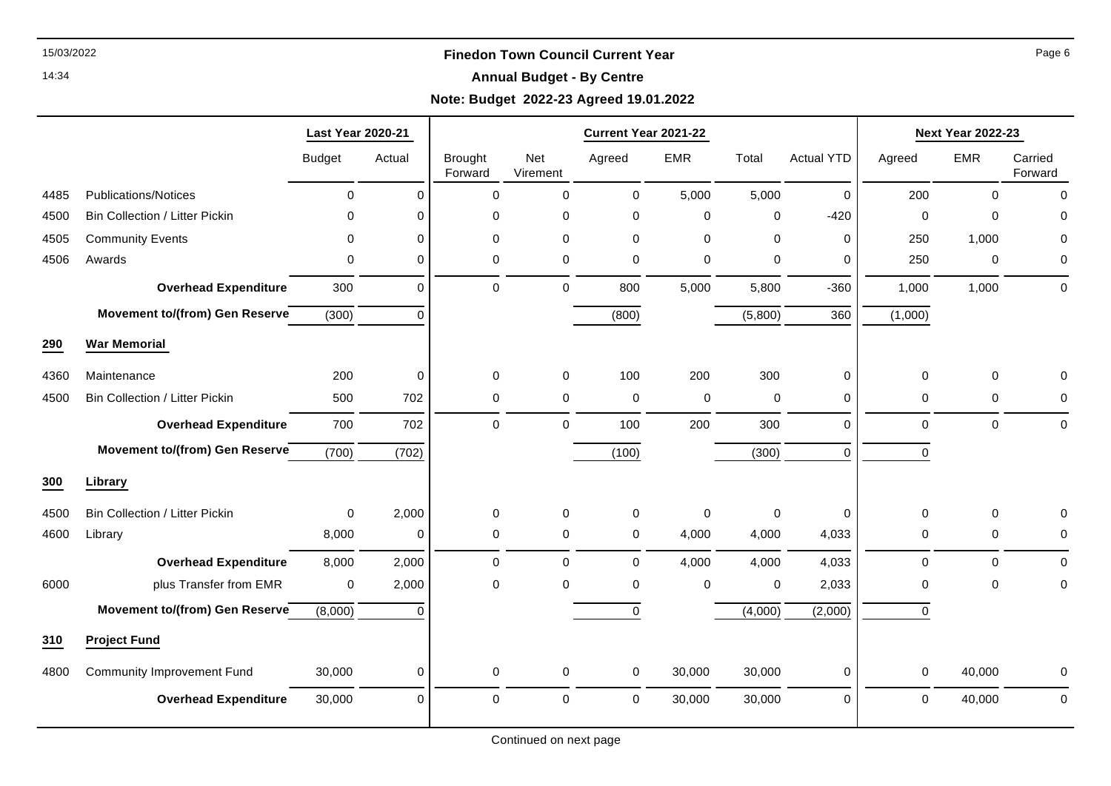### 14:34

## **Annual Budget - By Centre**

# **Note: Budget 2022-23 Agreed 19.01.2022**

|      |                                       | <b>Last Year 2020-21</b> |             |                           |                 | Current Year 2021-22 |             |             |                   |             | <b>Next Year 2022-23</b> |                    |
|------|---------------------------------------|--------------------------|-------------|---------------------------|-----------------|----------------------|-------------|-------------|-------------------|-------------|--------------------------|--------------------|
|      |                                       | <b>Budget</b>            | Actual      | <b>Brought</b><br>Forward | Net<br>Virement | Agreed               | EMR         | Total       | <b>Actual YTD</b> | Agreed      | <b>EMR</b>               | Carried<br>Forward |
| 4485 | <b>Publications/Notices</b>           | 0                        | $\mathbf 0$ | 0                         | 0               | 0                    | 5,000       | 5,000       | 0                 | 200         | $\mathbf 0$              | $\mathbf 0$        |
| 4500 | Bin Collection / Litter Pickin        | $\mathbf 0$              | $\mathbf 0$ | 0                         | 0               | 0                    | $\pmb{0}$   | $\mathbf 0$ | $-420$            | $\mathbf 0$ | $\mathbf 0$              | 0                  |
| 4505 | <b>Community Events</b>               | $\mathbf 0$              | $\mathbf 0$ | 0                         | 0               | $\mathbf 0$          | $\mathbf 0$ | $\mathbf 0$ | 0                 | 250         | 1,000                    | 0                  |
| 4506 | Awards                                | 0                        | 0           | 0                         | 0               | 0                    | $\mathbf 0$ | 0           | 0                 | 250         | $\mathbf 0$              | 0                  |
|      | <b>Overhead Expenditure</b>           | 300                      | $\mathbf 0$ | 0                         | 0               | 800                  | 5,000       | 5,800       | $-360$            | 1,000       | 1,000                    | $\mathbf 0$        |
|      | <b>Movement to/(from) Gen Reserve</b> | (300)                    | $\Omega$    |                           |                 | (800)                |             | (5,800)     | 360               | (1,000)     |                          |                    |
| 290  | <b>War Memorial</b>                   |                          |             |                           |                 |                      |             |             |                   |             |                          |                    |
| 4360 | Maintenance                           | 200                      | $\mathbf 0$ | 0                         | 0               | 100                  | 200         | 300         | 0                 | $\mathbf 0$ | $\mathbf 0$              | $\mathbf 0$        |
| 4500 | <b>Bin Collection / Litter Pickin</b> | 500                      | 702         | 0                         | 0               | 0                    | $\pmb{0}$   | $\mathbf 0$ | 0                 | 0           | 0                        | 0                  |
|      | <b>Overhead Expenditure</b>           | 700                      | 702         | $\mathbf 0$               | 0               | 100                  | 200         | 300         | 0                 | $\mathbf 0$ | $\mathbf 0$              | $\mathbf 0$        |
|      | Movement to/(from) Gen Reserve        | (700)                    | (702)       |                           |                 | (100)                |             | (300)       | $\Omega$          | $\Omega$    |                          |                    |
| 300  | <b>Library</b>                        |                          |             |                           |                 |                      |             |             |                   |             |                          |                    |
| 4500 | <b>Bin Collection / Litter Pickin</b> | 0                        | 2,000       | 0                         | 0               | 0                    | $\pmb{0}$   | $\pmb{0}$   | 0                 | $\mathbf 0$ | $\mathbf 0$              | 0                  |
| 4600 | Library                               | 8,000                    | $\mathbf 0$ | 0                         | 0               | 0                    | 4,000       | 4,000       | 4,033             | 0           | 0                        | 0                  |
|      | <b>Overhead Expenditure</b>           | 8,000                    | 2,000       | $\mathbf 0$               | $\Omega$        | $\mathbf 0$          | 4,000       | 4,000       | 4,033             | $\mathbf 0$ | $\Omega$                 | $\mathbf 0$        |
| 6000 | plus Transfer from EMR                | 0                        | 2,000       | $\mathbf 0$               | $\Omega$        | $\mathbf 0$          | $\mathbf 0$ | $\mathbf 0$ | 2,033             | 0           | $\Omega$                 | 0                  |
|      | Movement to/(from) Gen Reserve        | (8,000)                  | $\Omega$    |                           |                 | 0                    |             | (4,000)     | (2,000)           | $\mathbf 0$ |                          |                    |
| 310  | <b>Project Fund</b>                   |                          |             |                           |                 |                      |             |             |                   |             |                          |                    |
| 4800 | <b>Community Improvement Fund</b>     | 30,000                   | $\mathbf 0$ | $\mathbf 0$               | 0               | 0                    | 30,000      | 30,000      | 0                 | $\mathbf 0$ | 40,000                   | 0                  |
|      | <b>Overhead Expenditure</b>           | 30,000                   | $\mathbf 0$ | $\mathbf 0$               | 0               | $\mathbf 0$          | 30,000      | 30,000      | 0                 | $\mathbf 0$ | 40,000                   | 0                  |